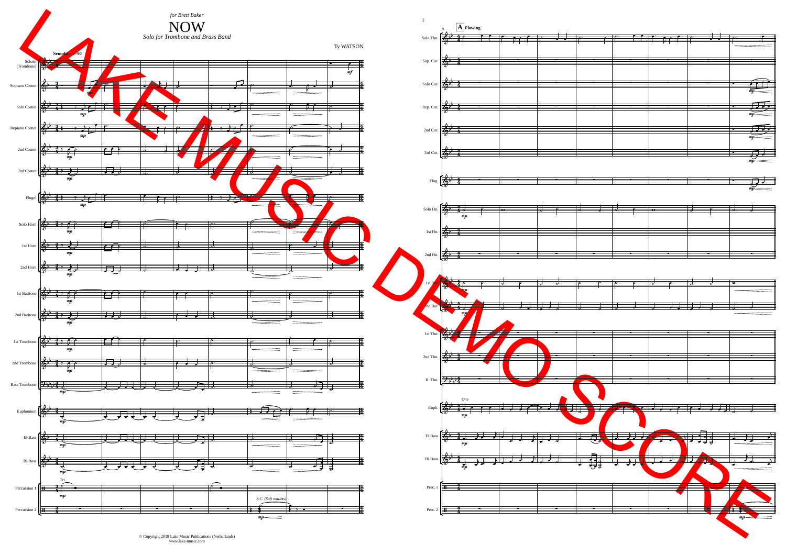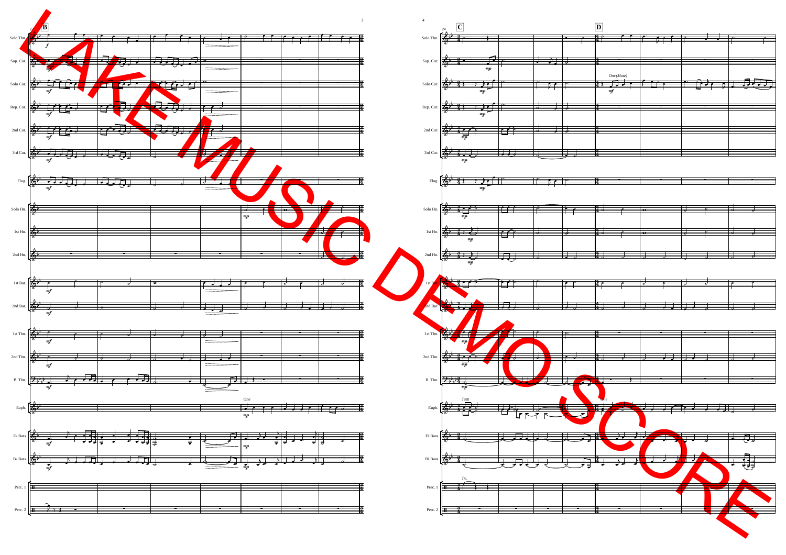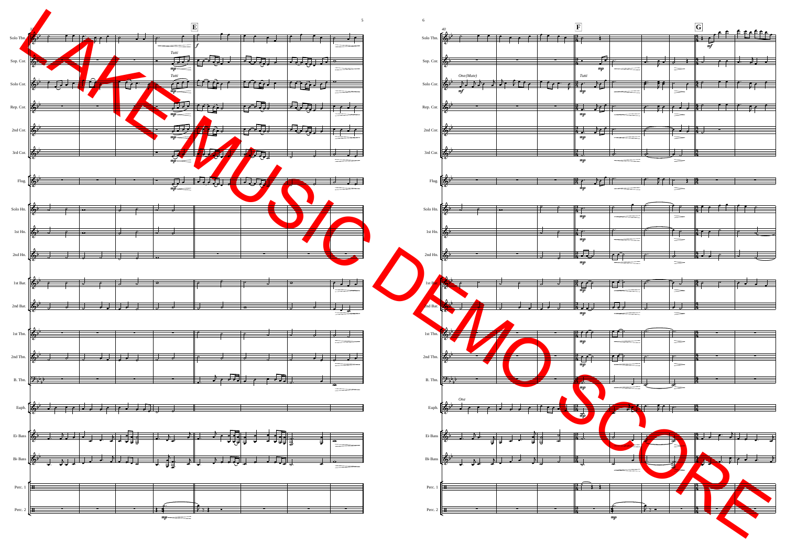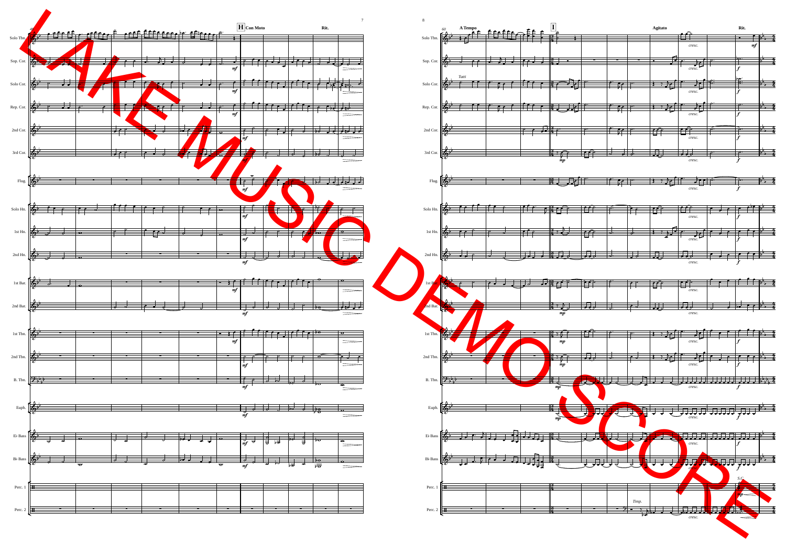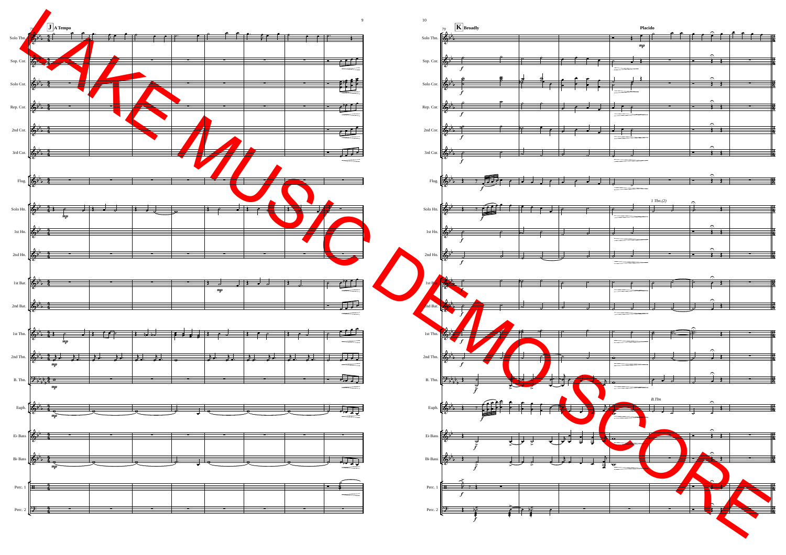